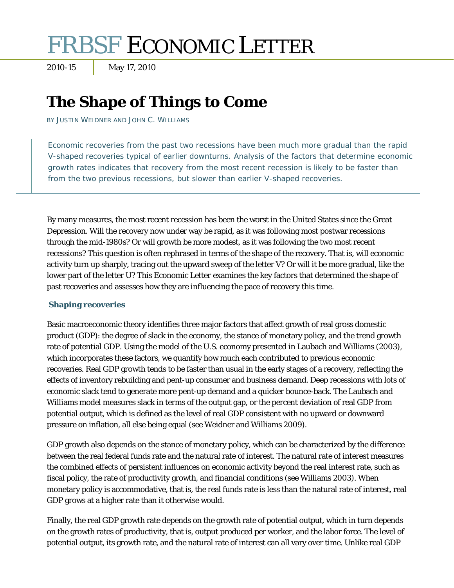# FRBSF ECONOMIC LETTER

2010-15 May 17, 2010

# **The Shape of Things to Come**

BY JUSTIN WEIDNER AND JOHN C. WILLIAMS

Economic recoveries from the past two recessions have been much more gradual than the rapid V-shaped recoveries typical of earlier downturns. Analysis of the factors that determine economic growth rates indicates that recovery from the most recent recession is likely to be faster than from the two previous recessions, but slower than earlier V-shaped recoveries.

By many measures, the most recent recession has been the worst in the United States since the Great Depression. Will the recovery now under way be rapid, as it was following most postwar recessions through the mid-1980s? Or will growth be more modest, as it was following the two most recent recessions? This question is often rephrased in terms of the shape of the recovery. That is, will economic activity turn up sharply, tracing out the upward sweep of the letter V? Or will it be more gradual, like the lower part of the letter U? This *Economic Letter* examines the key factors that determined the shape of past recoveries and assesses how they are influencing the pace of recovery this time.

## **Shaping recoveries**

Basic macroeconomic theory identifies three major factors that affect growth of real gross domestic product (GDP): the degree of slack in the economy, the stance of monetary policy, and the trend growth rate of potential GDP. Using the model of the U.S. economy presented in Laubach and Williams (2003), which incorporates these factors, we quantify how much each contributed to previous economic recoveries. Real GDP growth tends to be faster than usual in the early stages of a recovery, reflecting the effects of inventory rebuilding and pent-up consumer and business demand. Deep recessions with lots of economic slack tend to generate more pent-up demand and a quicker bounce-back. The Laubach and Williams model measures slack in terms of the output gap, or the percent deviation of real GDP from potential output, which is defined as the level of real GDP consistent with no upward or downward pressure on inflation, all else being equal (see Weidner and Williams 2009).

GDP growth also depends on the stance of monetary policy, which can be characterized by the difference between the real federal funds rate and the natural rate of interest. The natural rate of interest measures the combined effects of persistent influences on economic activity beyond the real interest rate, such as fiscal policy, the rate of productivity growth, and financial conditions (see Williams 2003). When monetary policy is accommodative, that is, the real funds rate is less than the natural rate of interest, real GDP grows at a higher rate than it otherwise would.

Finally, the real GDP growth rate depends on the growth rate of potential output, which in turn depends on the growth rates of productivity, that is, output produced per worker, and the labor force. The level of potential output, its growth rate, and the natural rate of interest can all vary over time. Unlike real GDP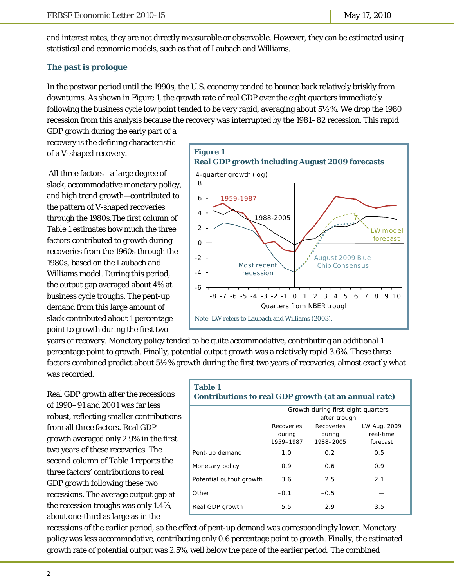and interest rates, they are not directly measurable or observable. However, they can be estimated using statistical and economic models, such as that of Laubach and Williams.

# **The past is prologue**

In the postwar period until the 1990s, the U.S. economy tended to bounce back relatively briskly from downturns. As shown in Figure 1, the growth rate of real GDP over the eight quarters immediately following the business cycle low point tended to be very rapid, averaging about 5½%. We drop the 1980 recession from this analysis because the recovery was interrupted by the 1981–82 recession. This rapid

GDP growth during the early part of a recovery is the defining characteristic of a V-shaped recovery.

 All three factors—a large degree of slack, accommodative monetary policy, and high trend growth—contributed to the pattern of V-shaped recoveries through the 1980s.The first column of Table 1 estimates how much the three factors contributed to growth during recoveries from the 1960s through the 1980s, based on the Laubach and Williams model. During this period, the output gap averaged about 4% at business cycle troughs. The pent-up demand from this large amount of slack contributed about 1 percentage point to growth during the first two



years of recovery. Monetary policy tended to be quite accommodative, contributing an additional 1 percentage point to growth. Finally, potential output growth was a relatively rapid 3.6%. These three factors combined predict about 5½% growth during the first two years of recoveries, almost exactly what was recorded.

Real GDP growth after the recessions of 1990–91 and 2001 was far less robust, reflecting smaller contributions from all three factors. Real GDP growth averaged only 2.9% in the first two years of these recoveries. The second column of Table 1 reports the three factors' contributions to real GDP growth following these two recessions. The average output gap at the recession troughs was only 1.4%, about one-third as large as in the

| <b>Table 1</b><br>Contributions to real GDP growth (at an annual rate) |                                                    |                                   |                                       |  |  |
|------------------------------------------------------------------------|----------------------------------------------------|-----------------------------------|---------------------------------------|--|--|
|                                                                        | Growth during first eight quarters<br>after trough |                                   |                                       |  |  |
|                                                                        | Recoveries<br>during<br>1959–1987                  | Recoveries<br>during<br>1988–2005 | LW Aug. 2009<br>real-time<br>forecast |  |  |
| Pent-up demand                                                         | 1.0                                                | 0.2                               | 0.5                                   |  |  |
| Monetary policy                                                        | 0.9                                                | 0.6                               | 0.9                                   |  |  |
| Potential output growth                                                | 3.6                                                | 2.5                               | 2.1                                   |  |  |
| Other                                                                  | $-0.1$                                             | $-0.5$                            |                                       |  |  |
| Real GDP growth                                                        | 5.5                                                | 2.9                               | 3.5                                   |  |  |

recessions of the earlier period, so the effect of pent-up demand was correspondingly lower. Monetary policy was less accommodative, contributing only 0.6 percentage point to growth. Finally, the estimated growth rate of potential output was 2.5%, well below the pace of the earlier period. The combined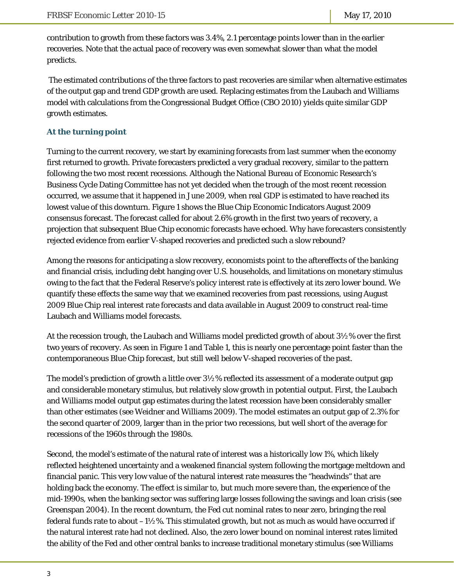contribution to growth from these factors was 3.4%, 2.1 percentage points lower than in the earlier recoveries. Note that the actual pace of recovery was even somewhat slower than what the model predicts.

 The estimated contributions of the three factors to past recoveries are similar when alternative estimates of the output gap and trend GDP growth are used. Replacing estimates from the Laubach and Williams model with calculations from the Congressional Budget Office (CBO 2010) yields quite similar GDP growth estimates.

## **At the turning point**

Turning to the current recovery, we start by examining forecasts from last summer when the economy first returned to growth. Private forecasters predicted a very gradual recovery, similar to the pattern following the two most recent recessions. Although the National Bureau of Economic Research's Business Cycle Dating Committee has not yet decided when the trough of the most recent recession occurred, we assume that it happened in June 2009, when real GDP is estimated to have reached its lowest value of this downturn. Figure 1 shows the Blue Chip Economic Indicators August 2009 consensus forecast. The forecast called for about 2.6% growth in the first two years of recovery, a projection that subsequent Blue Chip economic forecasts have echoed. Why have forecasters consistently rejected evidence from earlier V-shaped recoveries and predicted such a slow rebound?

Among the reasons for anticipating a slow recovery, economists point to the aftereffects of the banking and financial crisis, including debt hanging over U.S. households, and limitations on monetary stimulus owing to the fact that the Federal Reserve's policy interest rate is effectively at its zero lower bound. We quantify these effects the same way that we examined recoveries from past recessions, using August 2009 Blue Chip real interest rate forecasts and data available in August 2009 to construct real-time Laubach and Williams model forecasts.

At the recession trough, the Laubach and Williams model predicted growth of about 3½% over the first two years of recovery. As seen in Figure 1 and Table 1, this is nearly one percentage point faster than the contemporaneous Blue Chip forecast, but still well below V-shaped recoveries of the past.

The model's prediction of growth a little over 3½% reflected its assessment of a moderate output gap and considerable monetary stimulus, but relatively slow growth in potential output. First, the Laubach and Williams model output gap estimates during the latest recession have been considerably smaller than other estimates (see Weidner and Williams 2009). The model estimates an output gap of 2.3% for the second quarter of 2009, larger than in the prior two recessions, but well short of the average for recessions of the 1960s through the 1980s.

Second, the model's estimate of the natural rate of interest was a historically low 1%, which likely reflected heightened uncertainty and a weakened financial system following the mortgage meltdown and financial panic. This very low value of the natural interest rate measures the "headwinds" that are holding back the economy. The effect is similar to, but much more severe than, the experience of the mid-1990s, when the banking sector was suffering large losses following the savings and loan crisis (see Greenspan 2004). In the recent downturn, the Fed cut nominal rates to near zero, bringing the real federal funds rate to about  $-1\%$ %. This stimulated growth, but not as much as would have occurred if the natural interest rate had not declined. Also, the zero lower bound on nominal interest rates limited the ability of the Fed and other central banks to increase traditional monetary stimulus (see Williams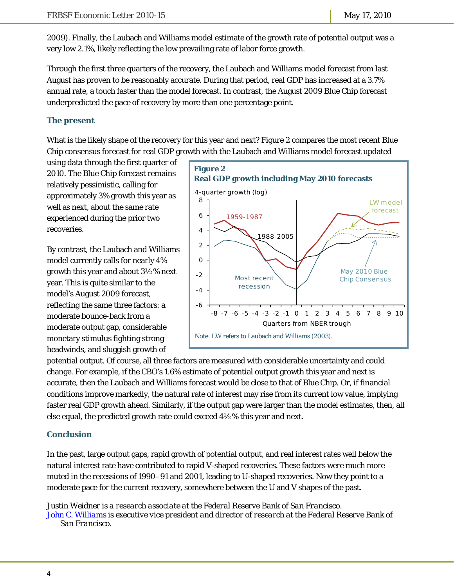2009). Finally, the Laubach and Williams model estimate of the growth rate of potential output was a very low 2.1%, likely reflecting the low prevailing rate of labor force growth.

Through the first three quarters of the recovery, the Laubach and Williams model forecast from last August has proven to be reasonably accurate. During that period, real GDP has increased at a 3.7% annual rate, a touch faster than the model forecast. In contrast, the August 2009 Blue Chip forecast underpredicted the pace of recovery by more than one percentage point.

## **The present**

What is the likely shape of the recovery for this year and next? Figure 2 compares the most recent Blue Chip consensus forecast for real GDP growth with the Laubach and Williams model forecast updated

using data through the first quarter of 2010. The Blue Chip forecast remains relatively pessimistic, calling for approximately 3% growth this year as well as next, about the same rate experienced during the prior two recoveries.

By contrast, the Laubach and Williams model currently calls for nearly 4% growth this year and about 3½% next year. This is quite similar to the model's August 2009 forecast, reflecting the same three factors: a moderate bounce-back from a moderate output gap, considerable monetary stimulus fighting strong headwinds, and sluggish growth of



potential output. Of course, all three factors are measured with considerable uncertainty and could change. For example, if the CBO's 1.6% estimate of potential output growth this year and next is accurate, then the Laubach and Williams forecast would be close to that of Blue Chip. Or, if financial conditions improve markedly, the natural rate of interest may rise from its current low value, implying faster real GDP growth ahead. Similarly, if the output gap were larger than the model estimates, then, all else equal, the predicted growth rate could exceed 4½% this year and next.

## **Conclusion**

In the past, large output gaps, rapid growth of potential output, and real interest rates well below the natural interest rate have contributed to rapid V-shaped recoveries. These factors were much more muted in the recessions of 1990–91 and 2001, leading to U-shaped recoveries. Now they point to a moderate pace for the current recovery, somewhere between the U and V shapes of the past.

*Justin Weidner is a research associate at the Federal Reserve Bank of San Francisco. [John C. Williams i](http://www.frbsf.org/economics/economists/staff.php?jwilliams)s executive vice president and director of research at the Federal Reserve Bank of San Francisco.*